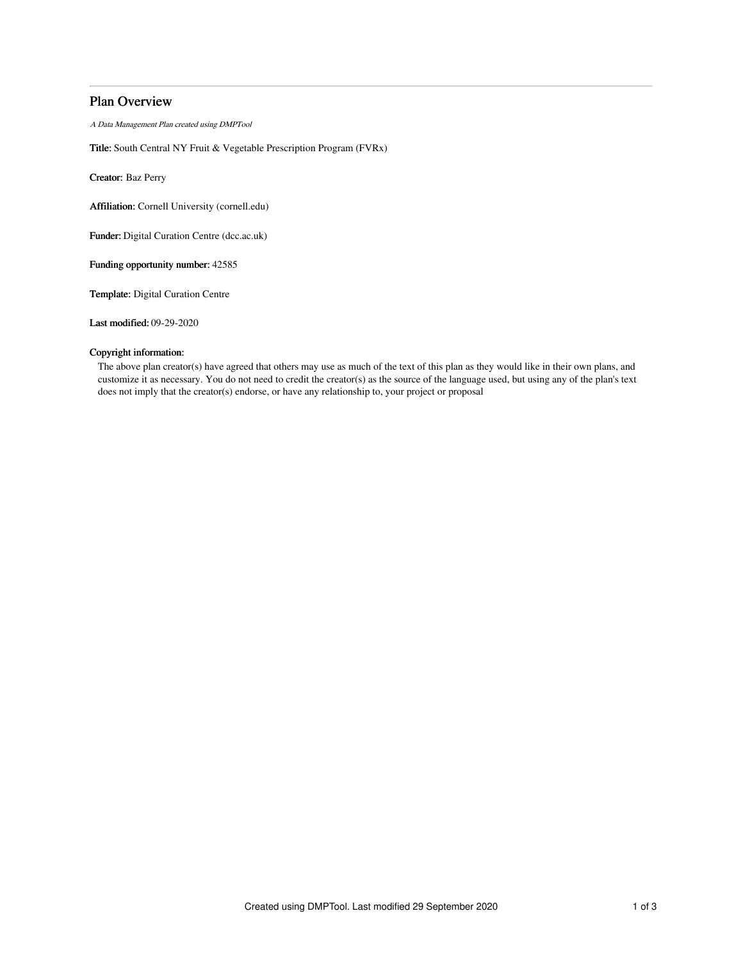# Plan Overview

A Data Management Plan created using DMPTool

Title: South Central NY Fruit & Vegetable Prescription Program (FVRx)

Creator: Baz Perry

Affiliation: Cornell University (cornell.edu)

Funder: Digital Curation Centre (dcc.ac.uk)

Funding opportunity number: 42585

Template: Digital Curation Centre

Last modified: 09-29-2020

## Copyright information:

The above plan creator(s) have agreed that others may use as much of the text of this plan as they would like in their own plans, and customize it as necessary. You do not need to credit the creator(s) as the source of the language used, but using any of the plan's text does not imply that the creator(s) endorse, or have any relationship to, your project or proposal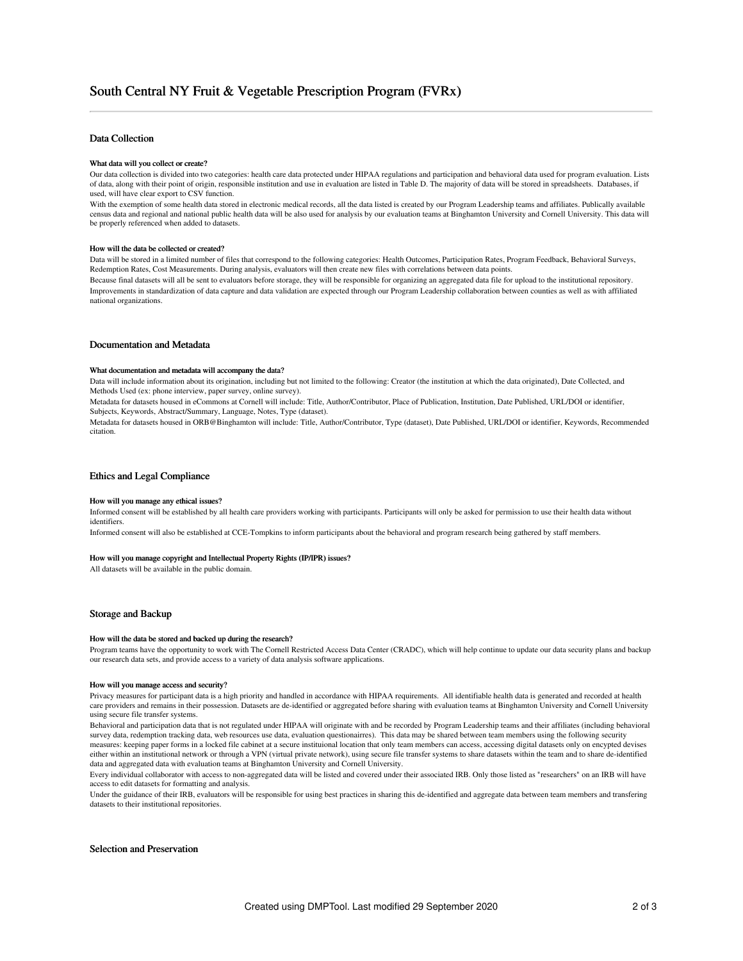## Data Collection

### What data will you collect or create?

Our data collection is divided into two categories: health care data protected under HIPAA regulations and participation and behavioral data used for program evaluation. Lists of data, along with their point of origin, responsible institution and use in evaluation are listed in Table D. The majority of data will be stored in spreadsheets. Databases, if used, will have clear export to CSV function.

With the exemption of some health data stored in electronic medical records, all the data listed is created by our Program Leadership teams and affiliates. Publically available census data and regional and national public health data will be also used for analysis by our evaluation teams at Binghamton University and Cornell University. This data will be properly referenced when added to datasets.

#### How will the data be collected or created?

Data will be stored in a limited number of files that correspond to the following categories: Health Outcomes, Participation Rates, Program Feedback, Behavioral Surveys, Redemption Rates, Cost Measurements. During analysis, evaluators will then create new files with correlations between data points.

Because final datasets will all be sent to evaluators before storage, they will be responsible for organizing an aggregated data file for upload to the institutional repository. Improvements in standardization of data capture and data validation are expected through our Program Leadership collaboration between counties as well as with affiliated national organizations.

## Documentation and Metadata

#### What documentation and metadata will accompany the data?

Data will include information about its origination, including but not limited to the following: Creator (the institution at which the data originated), Date Collected, and Methods Used (ex: phone interview, paper survey, online survey).

Metadata for datasets housed in eCommons at Cornell will include: Title, Author/Contributor, Place of Publication, Institution, Date Published, URL/DOI or identifier, Subjects, Keywords, Abstract/Summary, Language, Notes, Type (dataset).

Metadata for datasets housed in ORB@Binghamton will include: Title, Author/Contributor, Type (dataset), Date Published, URL/DOI or identifier, Keywords, Recommended citation.

## Ethics and Legal Compliance

## How will you manage any ethical issues?

Informed consent will be established by all health care providers working with participants. Participants will only be asked for permission to use their health data without identifiers.

Informed consent will also be established at CCE-Tompkins to inform participants about the behavioral and program research being gathered by staff members.

#### How will you manage copyright and Intellectual Property Rights (IP/IPR) issues?

All datasets will be available in the public domain.

## Storage and Backup

#### How will the data be stored and backed up during the research?

Program teams have the opportunity to work with The Cornell Restricted Access Data Center (CRADC), which will help continue to update our data security plans and backup our research data sets, and provide access to a variety of data analysis software applications.

#### How will you manage access and security?

Privacy measures for participant data is a high priority and handled in accordance with HIPAA requirements. All identifiable health data is generated and recorded at health care providers and remains in their possession. Datasets are de-identified or aggregated before sharing with evaluation teams at Binghamton University and Cornell University using secure file transfer systems.

Behavioral and participation data that is not regulated under HIPAA will originate with and be recorded by Program Leadership teams and their affiliates (including behavioral survey data, redemption tracking data, web resources use data, evaluation questionairres). This data may be shared between team members using the following security measures: keeping paper forms in a locked file cabinet at a secure instituional location that only team members can access, accessing digital datasets only on encypted devises either within an institutional network or through a VPN (virtual private network), using secure file transfer systems to share datasets within the team and to share de-identified data and aggregated data with evaluation teams at Binghamton University and Cornell University.

Every individual collaborator with access to non-aggregated data will be listed and covered under their associated IRB. Only those listed as "researchers" on an IRB will have access to edit datasets for formatting and analysis.

Under the guidance of their IRB, evaluators will be responsible for using best practices in sharing this de-identified and aggregate data between team members and transfering datasets to their institutional repositories.

### Selection and Preservation